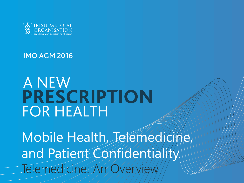

**IMO AGM 2016** 

# A NEW PRESCRIPTION **FOR HEALTH**

Mobile Health, Telemedicine, and Patient Confidentiality Tedicine: An Overview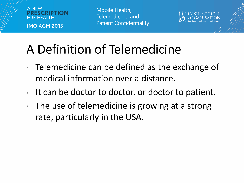



# A Definition of Telemedicine

- Telemedicine can be defined as the exchange of medical information over a distance.
- It can be doctor to doctor, or doctor to patient.
- The use of telemedicine is growing at a strong rate, particularly in the USA.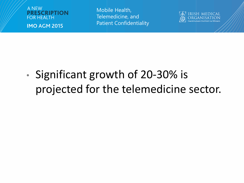



• Significant growth of 20-30% is projected for the telemedicine sector.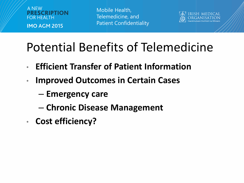



#### Potential Benefits of Telemedicine

- **Efficient Transfer of Patient Information**
- **Improved Outcomes in Certain Cases** 
	- **Emergency care**
	- **Chronic Disease Management**
- **Cost efficiency?**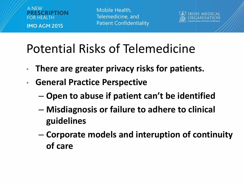



### Potential Risks of Telemedicine

- **There are greater privacy risks for patients.**
- **General Practice Perspective**
	- **Open to abuse if patient can't be identified**
	- **Misdiagnosis or failure to adhere to clinical guidelines**
	- **Corporate models and interuption of continuity of care**